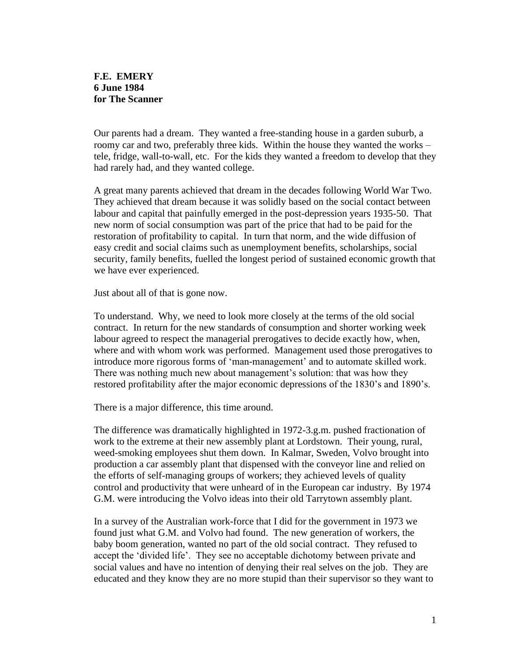## **F.E. EMERY 6 June 1984 for The Scanner**

Our parents had a dream. They wanted a free-standing house in a garden suburb, a roomy car and two, preferably three kids. Within the house they wanted the works – tele, fridge, wall-to-wall, etc. For the kids they wanted a freedom to develop that they had rarely had, and they wanted college.

A great many parents achieved that dream in the decades following World War Two. They achieved that dream because it was solidly based on the social contact between labour and capital that painfully emerged in the post-depression years 1935-50. That new norm of social consumption was part of the price that had to be paid for the restoration of profitability to capital. In turn that norm, and the wide diffusion of easy credit and social claims such as unemployment benefits, scholarships, social security, family benefits, fuelled the longest period of sustained economic growth that we have ever experienced.

Just about all of that is gone now.

To understand. Why, we need to look more closely at the terms of the old social contract. In return for the new standards of consumption and shorter working week labour agreed to respect the managerial prerogatives to decide exactly how, when, where and with whom work was performed. Management used those prerogatives to introduce more rigorous forms of 'man-management' and to automate skilled work. There was nothing much new about management's solution: that was how they restored profitability after the major economic depressions of the 1830's and 1890's.

There is a major difference, this time around.

The difference was dramatically highlighted in 1972-3.g.m. pushed fractionation of work to the extreme at their new assembly plant at Lordstown. Their young, rural, weed-smoking employees shut them down. In Kalmar, Sweden, Volvo brought into production a car assembly plant that dispensed with the conveyor line and relied on the efforts of self-managing groups of workers; they achieved levels of quality control and productivity that were unheard of in the European car industry. By 1974 G.M. were introducing the Volvo ideas into their old Tarrytown assembly plant.

In a survey of the Australian work-force that I did for the government in 1973 we found just what G.M. and Volvo had found. The new generation of workers, the baby boom generation, wanted no part of the old social contract. They refused to accept the 'divided life'. They see no acceptable dichotomy between private and social values and have no intention of denying their real selves on the job. They are educated and they know they are no more stupid than their supervisor so they want to